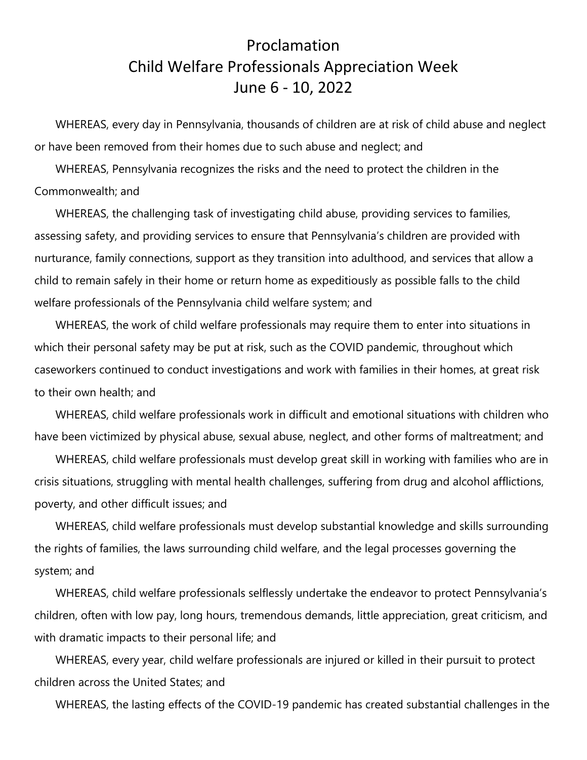## Proclamation Child Welfare Professionals Appreciation Week June 6 - 10, 2022

WHEREAS, every day in Pennsylvania, thousands of children are at risk of child abuse and neglect or have been removed from their homes due to such abuse and neglect; and

WHEREAS, Pennsylvania recognizes the risks and the need to protect the children in the Commonwealth; and

WHEREAS, the challenging task of investigating child abuse, providing services to families, assessing safety, and providing services to ensure that Pennsylvania's children are provided with nurturance, family connections, support as they transition into adulthood, and services that allow a child to remain safely in their home or return home as expeditiously as possible falls to the child welfare professionals of the Pennsylvania child welfare system; and

WHEREAS, the work of child welfare professionals may require them to enter into situations in which their personal safety may be put at risk, such as the COVID pandemic, throughout which caseworkers continued to conduct investigations and work with families in their homes, at great risk to their own health; and

WHEREAS, child welfare professionals work in difficult and emotional situations with children who have been victimized by physical abuse, sexual abuse, neglect, and other forms of maltreatment; and

WHEREAS, child welfare professionals must develop great skill in working with families who are in crisis situations, struggling with mental health challenges, suffering from drug and alcohol afflictions, poverty, and other difficult issues; and

WHEREAS, child welfare professionals must develop substantial knowledge and skills surrounding the rights of families, the laws surrounding child welfare, and the legal processes governing the system; and

WHEREAS, child welfare professionals selflessly undertake the endeavor to protect Pennsylvania's children, often with low pay, long hours, tremendous demands, little appreciation, great criticism, and with dramatic impacts to their personal life; and

WHEREAS, every year, child welfare professionals are injured or killed in their pursuit to protect children across the United States; and

WHEREAS, the lasting effects of the COVID-19 pandemic has created substantial challenges in the